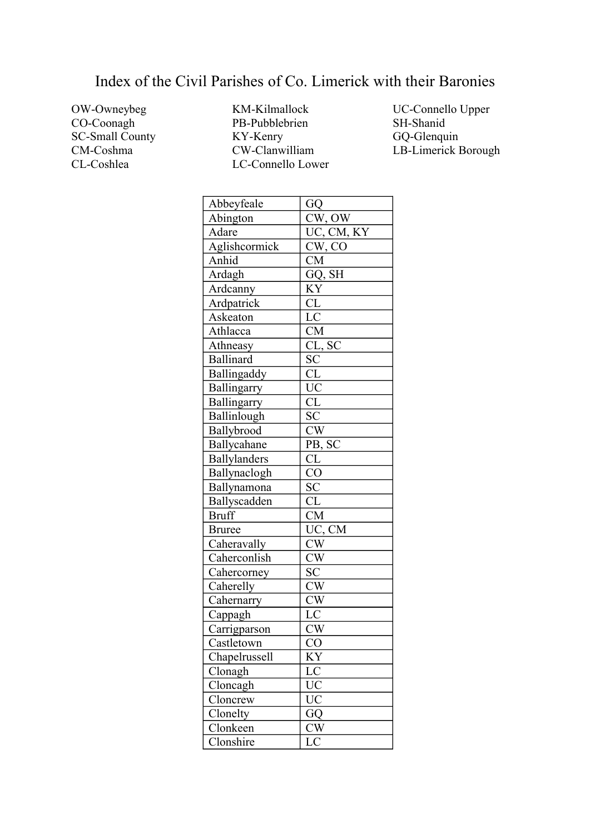## Index of the Civil Parishes of Co. Limerick with their Baronies

OW-Owneybeg CO-Coonagh SC-Small County CM-Coshma CL-Coshlea

KM-Kilmallock PB-Pubblebrien KY-Kenry CW-Clanwilliam LC-Connello Lower UC-Connello Upper SH-Shanid GQ-Glenquin LB-Limerick Borough

| Abbeyfeale          | GQ                     |
|---------------------|------------------------|
| Abington            | CW, OW                 |
| Adare               | UC, CM, KY             |
| Aglishcormick       | CW, CO                 |
| Anhid               | $\overline{\text{CM}}$ |
| Ardagh              | $GQ, \overline{SH}$    |
| Ardcanny            | KY                     |
| Ardpatrick          | CL                     |
| Askeaton            | LC                     |
| Athlacca            | <b>CM</b>              |
| Athneasy            | CL, SC                 |
| <b>Ballinard</b>    | <b>SC</b>              |
| Ballingaddy         | $\overline{\text{CL}}$ |
| Ballingarry         | UC                     |
| Ballingarry         | CL                     |
| Ballinlough         | $\overline{SC}$        |
| Ballybrood          | CW                     |
| Ballycahane         | PB, SC                 |
| <b>Ballylanders</b> | CL                     |
| Ballynaclogh        | $\overline{C}O$        |
| Ballynamona         | <b>SC</b>              |
| Ballyscadden        | CL                     |
| <b>Bruff</b>        | <b>CM</b>              |
| <b>Bruree</b>       | UC, CM                 |
| Caheravally         | <b>CW</b>              |
| Caherconlish        | CW                     |
| Cahercorney         | SC                     |
| Caherelly           | <b>CW</b>              |
| Cahernarry          | $\overline{\text{CW}}$ |
| Cappagh             | LC                     |
| Carrigparson        | <b>CW</b>              |
| Castletown          | CO                     |
| Chapelrussell       | KY                     |
| Clonagh             | LC                     |
| Cloncagh            | UC                     |
| Cloncrew            | UC                     |
| Clonelty            | GQ                     |
| Clonkeen            | CW                     |
| Clonshire           | LC                     |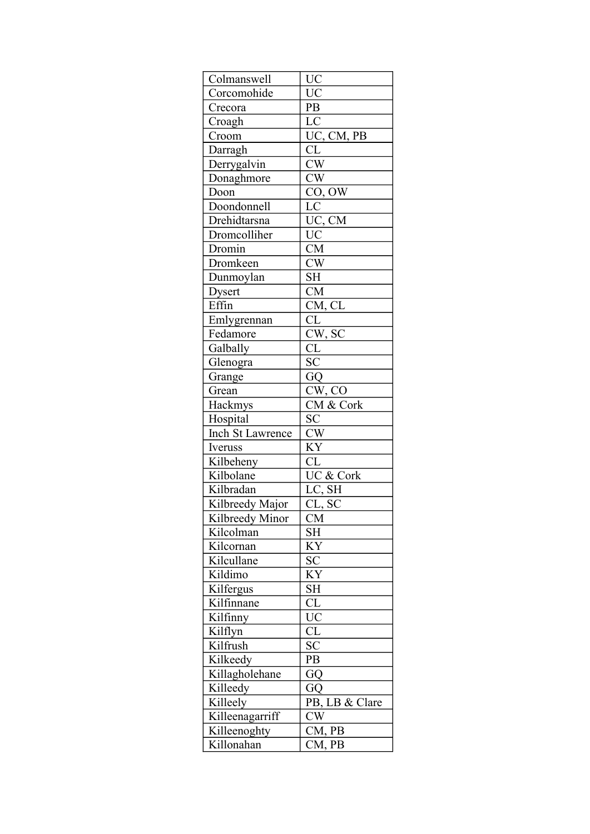| Colmanswell      | UC                     |
|------------------|------------------------|
| Corcomohide      | $\overline{UC}$        |
| Crecora          | PB                     |
| Croagh           | $\overline{\text{LC}}$ |
| Croom            | UC, CM, PB             |
| Darragh          | CL                     |
| Derrygalvin      | $\overline{\text{CW}}$ |
| Donaghmore       | CW                     |
| Doon             | CO, OW                 |
| Doondonnell      | LC                     |
| Drehidtarsna     | UC, CM                 |
| Dromcolliher     | <b>UC</b>              |
| Dromin           | <b>CM</b>              |
| Dromkeen         | CW                     |
| Dunmoylan        | <b>SH</b>              |
| <b>Dysert</b>    | CM                     |
| Effin            | CM, CL                 |
| Emlygrennan      | CL                     |
| Fedamore         | CW, SC                 |
| Galbally         | $\overline{\text{CL}}$ |
| Glenogra         | $\overline{SC}$        |
| Grange           | GQ                     |
| Grean            | CW, CO                 |
| Hackmys          | CM & Cork              |
| Hospital         | SC                     |
| Inch St Lawrence | CW                     |
| Iveruss          | KY                     |
| Kilbeheny        | CL                     |
| Kilbolane        | UC & Cork              |
| Kilbradan        | LC, SH                 |
| Kilbreedy Major  | CL, SC                 |
| Kilbreedy Minor  | СM                     |
| Kilcolman        | SН                     |
| Kilcornan        | KY                     |
| Kilcullane       | SC                     |
| Kildimo          | KY                     |
| Kilfergus        | <b>SH</b>              |
| Kilfinnane       | CL                     |
| Kilfinny         | <b>UC</b>              |
| Kilflyn          | <b>CL</b>              |
| Kilfrush         | <b>SC</b>              |
| Kilkeedy         | PB                     |
| Killagholehane   | GQ                     |
| Killeedy         | GQ                     |
| Killeely         | PB, LB & Clare         |
| Killeenagarriff  | $\overline{CW}$        |
| Killeenoghty     | CM, PB                 |
| Killonahan       | CM, PB                 |
|                  |                        |